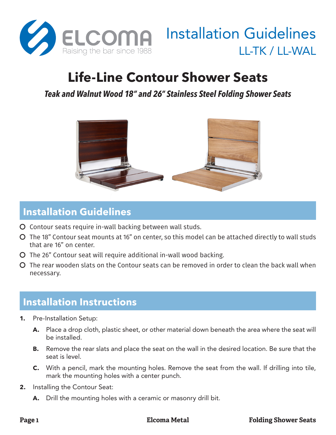

# Installation Guidelines LL-TK / LL-WAL

## **Life-Line Contour Shower Seats**

#### *Teak and Walnut Wood 18" and 26" Stainless Steel Folding Shower Seats*



#### **Installation Guidelines**

- O Contour seats require in-wall backing between wall studs.
- Č The 18" Contour seat mounts at 16" on center, so this model can be attached directly to wall studs that are 16" on center.
- Č The 26" Contour seat will require additional in-wall wood backing.
- $\Omega$  The rear wooden slats on the Contour seats can be removed in order to clean the back wall when necessary.

### **Installation Instructions**

- **1.** Pre-Installation Setup:
	- **A.** Place a drop cloth, plastic sheet, or other material down beneath the area where the seat will be installed.
	- **B.** Remove the rear slats and place the seat on the wall in the desired location. Be sure that the seat is level.
	- **C.** With a pencil, mark the mounting holes. Remove the seat from the wall. If drilling into tile, mark the mounting holes with a center punch.
- **2.** Installing the Contour Seat:
	- **A.** Drill the mounting holes with a ceramic or masonry drill bit.